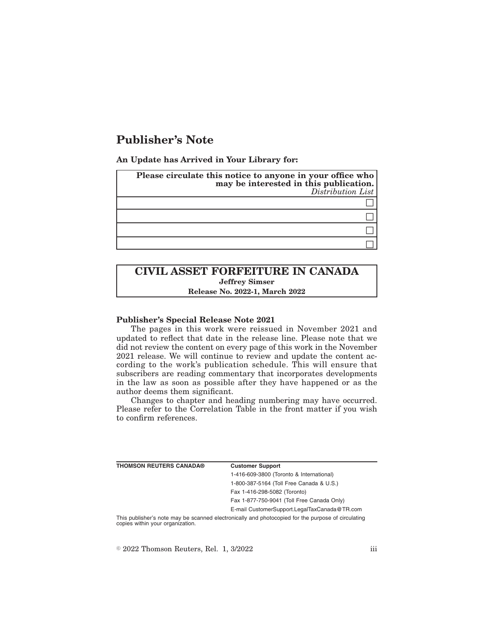# **Publisher's Note**

**An Update has Arrived in Your Library for:**

| Please circulate this notice to anyone in your office who<br>may be interested in this publication.<br>Distribution List |
|--------------------------------------------------------------------------------------------------------------------------|
|                                                                                                                          |
|                                                                                                                          |
|                                                                                                                          |
|                                                                                                                          |

## **CIVIL ASSET FORFEITURE IN CANADA Jeffrey Simser Release No. 2022-1, March 2022**

#### **Publisher's Special Release Note 2021**

The pages in this work were reissued in November 2021 and updated to reflect that date in the release line. Please note that we did not review the content on every page of this work in the November 2021 release. We will continue to review and update the content according to the work's publication schedule. This will ensure that subscribers are reading commentary that incorporates developments in the law as soon as possible after they have happened or as the author deems them significant.

Changes to chapter and heading numbering may have occurred. Please refer to the Correlation Table in the front matter if you wish to confirm references.

| <b>THOMSON REUTERS CANADA®</b>   | <b>Customer Support</b>                                                                            |
|----------------------------------|----------------------------------------------------------------------------------------------------|
|                                  | 1-416-609-3800 (Toronto & International)                                                           |
|                                  | 1-800-387-5164 (Toll Free Canada & U.S.)                                                           |
|                                  | Fax 1-416-298-5082 (Toronto)                                                                       |
|                                  | Fax 1-877-750-9041 (Toll Free Canada Only)                                                         |
|                                  | E-mail CustomerSupport.LegalTaxCanada@TR.com                                                       |
| copies within your organization. | This publisher's note may be scanned electronically and photocopied for the purpose of circulating |

 $\textdegree$  2022 Thomson Reuters, Rel. 1, 3/2022 iii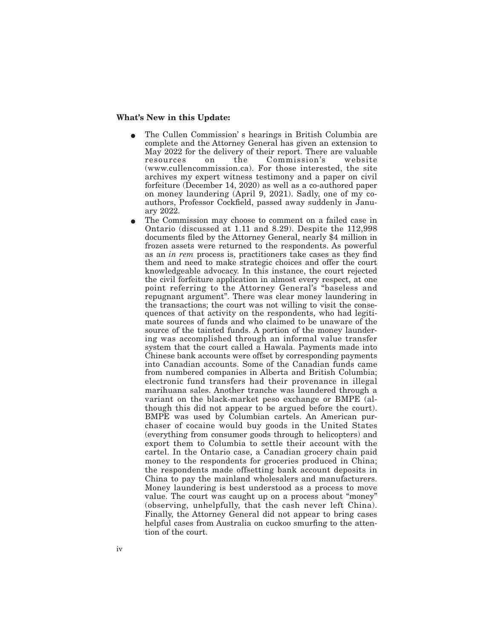#### **What's New in this Update:**

- E The Cullen Commission' s hearings in British Columbia are complete and the Attorney General has given an extension to May 2022 for the delivery of their report. There are valuable resources on the Commission's website (www.cullencommission.ca). For those interested, the site archives my expert witness testimony and a paper on civil forfeiture (December 14, 2020) as well as a co-authored paper on money laundering (April 9, 2021). Sadly, one of my coauthors, Professor Cockfield, passed away suddenly in January 2022.
- The Commission may choose to comment on a failed case in Ontario (discussed at 1.11 and 8.29). Despite the 112,998 documents filed by the Attorney General, nearly \$4 million in frozen assets were returned to the respondents. As powerful as an *in rem* process is, practitioners take cases as they find them and need to make strategic choices and offer the court knowledgeable advocacy. In this instance, the court rejected the civil forfeiture application in almost every respect, at one point referring to the Attorney General's "baseless and repugnant argument". There was clear money laundering in the transactions; the court was not willing to visit the consequences of that activity on the respondents, who had legitimate sources of funds and who claimed to be unaware of the source of the tainted funds. A portion of the money laundering was accomplished through an informal value transfer system that the court called a Hawala. Payments made into Chinese bank accounts were offset by corresponding payments into Canadian accounts. Some of the Canadian funds came from numbered companies in Alberta and British Columbia; electronic fund transfers had their provenance in illegal marihuana sales. Another tranche was laundered through a variant on the black-market peso exchange or BMPE (although this did not appear to be argued before the court). BMPE was used by Columbian cartels. An American purchaser of cocaine would buy goods in the United States (everything from consumer goods through to helicopters) and export them to Columbia to settle their account with the cartel. In the Ontario case, a Canadian grocery chain paid money to the respondents for groceries produced in China; the respondents made offsetting bank account deposits in China to pay the mainland wholesalers and manufacturers. Money laundering is best understood as a process to move value. The court was caught up on a process about "money" (observing, unhelpfully, that the cash never left China). Finally, the Attorney General did not appear to bring cases helpful cases from Australia on cuckoo smurfing to the attention of the court.